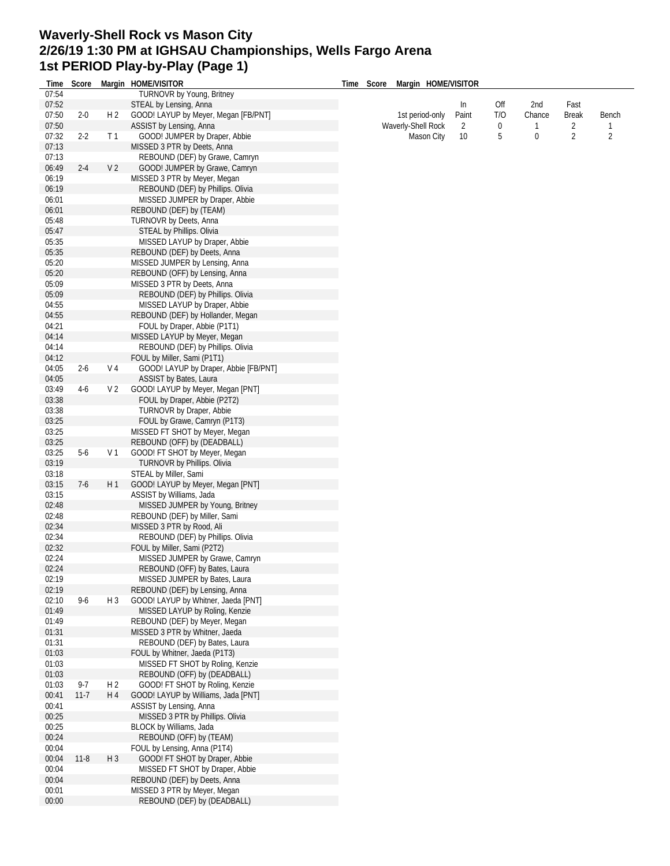## **Waverly-Shell Rock vs Mason City 2/26/19 1:30 PM at IGHSAU Championships, Wells Fargo Arena 1st PERIOD Play-by-Play (Page 1)**

| Time           | Score    |                | Margin HOME/VISITOR                                                 | Time | Score                                                                                                 | Margin HOME/VISITOR |        |              |                |                |                |
|----------------|----------|----------------|---------------------------------------------------------------------|------|-------------------------------------------------------------------------------------------------------|---------------------|--------|--------------|----------------|----------------|----------------|
| 07:54          |          |                | TURNOVR by Young, Britney                                           |      |                                                                                                       |                     |        |              |                |                |                |
| 07:52          |          |                | STEAL by Lensing, Anna                                              |      |                                                                                                       |                     | In     | Off          | 2nd            | Fast           |                |
| 07:50          | $2 - 0$  | H <sub>2</sub> | GOOD! LAYUP by Meyer, Megan [FB/PNT]                                |      | 1st period-only<br>T/O<br>Paint<br>Waverly-Shell Rock<br>$\overline{2}$<br>0<br>Mason City<br>10<br>5 |                     | Chance | Break        | Bench          |                |                |
| 07:50          |          |                | ASSIST by Lensing, Anna                                             |      |                                                                                                       |                     |        | $\mathbf{1}$ | $\overline{2}$ | 1              |                |
| 07:32          | $2 - 2$  | T <sub>1</sub> | GOOD! JUMPER by Draper, Abbie                                       |      |                                                                                                       |                     |        |              | 0              | $\overline{2}$ | $\overline{2}$ |
| 07:13          |          |                | MISSED 3 PTR by Deets, Anna                                         |      |                                                                                                       |                     |        |              |                |                |                |
| 07:13          |          | V <sub>2</sub> | REBOUND (DEF) by Grawe, Camryn<br>GOOD! JUMPER by Grawe, Camryn     |      |                                                                                                       |                     |        |              |                |                |                |
| 06:49          | $2 - 4$  |                |                                                                     |      |                                                                                                       |                     |        |              |                |                |                |
| 06:19<br>06:19 |          |                | MISSED 3 PTR by Meyer, Megan                                        |      |                                                                                                       |                     |        |              |                |                |                |
| 06:01          |          |                | REBOUND (DEF) by Phillips. Olivia<br>MISSED JUMPER by Draper, Abbie |      |                                                                                                       |                     |        |              |                |                |                |
| 06:01          |          |                | REBOUND (DEF) by (TEAM)                                             |      |                                                                                                       |                     |        |              |                |                |                |
| 05:48          |          |                | TURNOVR by Deets, Anna                                              |      |                                                                                                       |                     |        |              |                |                |                |
| 05:47          |          |                | STEAL by Phillips. Olivia                                           |      |                                                                                                       |                     |        |              |                |                |                |
| 05:35          |          |                | MISSED LAYUP by Draper, Abbie                                       |      |                                                                                                       |                     |        |              |                |                |                |
| 05:35          |          |                | REBOUND (DEF) by Deets, Anna                                        |      |                                                                                                       |                     |        |              |                |                |                |
| 05:20          |          |                | MISSED JUMPER by Lensing, Anna                                      |      |                                                                                                       |                     |        |              |                |                |                |
| 05:20          |          |                | REBOUND (OFF) by Lensing, Anna                                      |      |                                                                                                       |                     |        |              |                |                |                |
| 05:09          |          |                | MISSED 3 PTR by Deets, Anna                                         |      |                                                                                                       |                     |        |              |                |                |                |
| 05:09          |          |                | REBOUND (DEF) by Phillips. Olivia                                   |      |                                                                                                       |                     |        |              |                |                |                |
| 04:55          |          |                | MISSED LAYUP by Draper, Abbie                                       |      |                                                                                                       |                     |        |              |                |                |                |
| 04:55          |          |                | REBOUND (DEF) by Hollander, Megan                                   |      |                                                                                                       |                     |        |              |                |                |                |
| 04:21          |          |                | FOUL by Draper, Abbie (P1T1)                                        |      |                                                                                                       |                     |        |              |                |                |                |
| 04:14          |          |                | MISSED LAYUP by Meyer, Megan                                        |      |                                                                                                       |                     |        |              |                |                |                |
| 04:14          |          |                | REBOUND (DEF) by Phillips. Olivia                                   |      |                                                                                                       |                     |        |              |                |                |                |
| 04:12          |          |                | FOUL by Miller, Sami (P1T1)                                         |      |                                                                                                       |                     |        |              |                |                |                |
| 04:05          | $2 - 6$  | V <sub>4</sub> | GOOD! LAYUP by Draper, Abbie [FB/PNT]                               |      |                                                                                                       |                     |        |              |                |                |                |
| 04:05          |          |                | ASSIST by Bates, Laura                                              |      |                                                                                                       |                     |        |              |                |                |                |
| 03:49          | $4-6$    | V <sub>2</sub> | GOOD! LAYUP by Meyer, Megan [PNT]                                   |      |                                                                                                       |                     |        |              |                |                |                |
| 03:38          |          |                | FOUL by Draper, Abbie (P2T2)                                        |      |                                                                                                       |                     |        |              |                |                |                |
| 03:38          |          |                | TURNOVR by Draper, Abbie                                            |      |                                                                                                       |                     |        |              |                |                |                |
| 03:25          |          |                | FOUL by Grawe, Camryn (P1T3)                                        |      |                                                                                                       |                     |        |              |                |                |                |
| 03:25          |          |                | MISSED FT SHOT by Meyer, Megan                                      |      |                                                                                                       |                     |        |              |                |                |                |
| 03:25          |          |                | REBOUND (OFF) by (DEADBALL)                                         |      |                                                                                                       |                     |        |              |                |                |                |
| 03:25          | $5-6$    | V <sub>1</sub> | GOOD! FT SHOT by Meyer, Megan                                       |      |                                                                                                       |                     |        |              |                |                |                |
| 03:19          |          |                | TURNOVR by Phillips. Olivia                                         |      |                                                                                                       |                     |        |              |                |                |                |
| 03:18          |          |                | STEAL by Miller, Sami                                               |      |                                                                                                       |                     |        |              |                |                |                |
| 03:15          | $7-6$    | H1             | GOOD! LAYUP by Meyer, Megan [PNT]                                   |      |                                                                                                       |                     |        |              |                |                |                |
| 03:15<br>02:48 |          |                | ASSIST by Williams, Jada                                            |      |                                                                                                       |                     |        |              |                |                |                |
| 02:48          |          |                | MISSED JUMPER by Young, Britney                                     |      |                                                                                                       |                     |        |              |                |                |                |
| 02:34          |          |                | REBOUND (DEF) by Miller, Sami<br>MISSED 3 PTR by Rood, Ali          |      |                                                                                                       |                     |        |              |                |                |                |
| 02:34          |          |                | REBOUND (DEF) by Phillips. Olivia                                   |      |                                                                                                       |                     |        |              |                |                |                |
| 02:32          |          |                | FOUL by Miller, Sami (P2T2)                                         |      |                                                                                                       |                     |        |              |                |                |                |
| 02:24          |          |                | MISSED JUMPER by Grawe, Camryn                                      |      |                                                                                                       |                     |        |              |                |                |                |
| 02:24          |          |                | REBOUND (OFF) by Bates, Laura                                       |      |                                                                                                       |                     |        |              |                |                |                |
| 02:19          |          |                | MISSED JUMPER by Bates, Laura                                       |      |                                                                                                       |                     |        |              |                |                |                |
| 02:19          |          |                | REBOUND (DEF) by Lensing, Anna                                      |      |                                                                                                       |                     |        |              |                |                |                |
| 02:10          | $9 - 6$  | H 3            | GOOD! LAYUP by Whitner, Jaeda [PNT]                                 |      |                                                                                                       |                     |        |              |                |                |                |
| 01:49          |          |                | MISSED LAYUP by Roling, Kenzie                                      |      |                                                                                                       |                     |        |              |                |                |                |
| 01:49          |          |                | REBOUND (DEF) by Meyer, Megan                                       |      |                                                                                                       |                     |        |              |                |                |                |
| 01:31          |          |                | MISSED 3 PTR by Whitner, Jaeda                                      |      |                                                                                                       |                     |        |              |                |                |                |
| 01:31          |          |                | REBOUND (DEF) by Bates, Laura                                       |      |                                                                                                       |                     |        |              |                |                |                |
| 01:03          |          |                | FOUL by Whitner, Jaeda (P1T3)                                       |      |                                                                                                       |                     |        |              |                |                |                |
| 01:03          |          |                | MISSED FT SHOT by Roling, Kenzie                                    |      |                                                                                                       |                     |        |              |                |                |                |
| 01:03          |          |                | REBOUND (OFF) by (DEADBALL)                                         |      |                                                                                                       |                     |        |              |                |                |                |
| 01:03          | $9 - 7$  | H <sub>2</sub> | GOOD! FT SHOT by Roling, Kenzie                                     |      |                                                                                                       |                     |        |              |                |                |                |
| 00:41          | $11-7$   | H 4            | GOOD! LAYUP by Williams, Jada [PNT]                                 |      |                                                                                                       |                     |        |              |                |                |                |
| 00:41          |          |                | ASSIST by Lensing, Anna                                             |      |                                                                                                       |                     |        |              |                |                |                |
| 00:25          |          |                | MISSED 3 PTR by Phillips. Olivia                                    |      |                                                                                                       |                     |        |              |                |                |                |
| 00:25          |          |                | BLOCK by Williams, Jada                                             |      |                                                                                                       |                     |        |              |                |                |                |
| 00:24          |          |                | REBOUND (OFF) by (TEAM)                                             |      |                                                                                                       |                     |        |              |                |                |                |
| 00:04          |          |                | FOUL by Lensing, Anna (P1T4)                                        |      |                                                                                                       |                     |        |              |                |                |                |
| 00:04          | $11 - 8$ | $H_3$          | GOOD! FT SHOT by Draper, Abbie                                      |      |                                                                                                       |                     |        |              |                |                |                |
| 00:04<br>00:04 |          |                | MISSED FT SHOT by Draper, Abbie<br>REBOUND (DEF) by Deets, Anna     |      |                                                                                                       |                     |        |              |                |                |                |
| 00:01          |          |                | MISSED 3 PTR by Meyer, Megan                                        |      |                                                                                                       |                     |        |              |                |                |                |
| 00:00          |          |                | REBOUND (DEF) by (DEADBALL)                                         |      |                                                                                                       |                     |        |              |                |                |                |
|                |          |                |                                                                     |      |                                                                                                       |                     |        |              |                |                |                |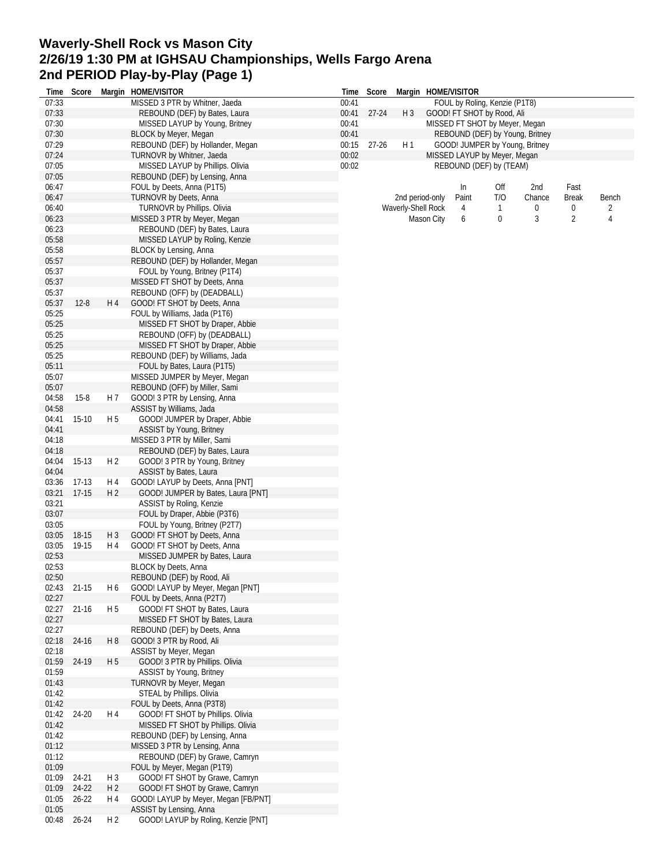## **Waverly-Shell Rock vs Mason City 2/26/19 1:30 PM at IGHSAU Championships, Wells Fargo Arena 2nd PERIOD Play-by-Play (Page 1)**

|                | Time Score |                | Margin HOME/VISITOR                                           |       | Time Score  |                    |            | Margin HOME/VISITOR            |              |                                 |                |       |
|----------------|------------|----------------|---------------------------------------------------------------|-------|-------------|--------------------|------------|--------------------------------|--------------|---------------------------------|----------------|-------|
| 07:33          |            |                | MISSED 3 PTR by Whitner, Jaeda                                | 00:41 |             |                    |            | FOUL by Roling, Kenzie (P1T8)  |              |                                 |                |       |
| 07:33          |            |                | REBOUND (DEF) by Bates, Laura                                 |       | 00:41 27-24 | $H_3$              |            | GOOD! FT SHOT by Rood, Ali     |              |                                 |                |       |
| 07:30          |            |                | MISSED LAYUP by Young, Britney                                | 00:41 |             |                    |            | MISSED FT SHOT by Meyer, Megan |              |                                 |                |       |
| 07:30          |            |                | <b>BLOCK by Meyer, Megan</b>                                  | 00:41 |             |                    |            |                                |              | REBOUND (DEF) by Young, Britney |                |       |
| 07:29          |            |                | REBOUND (DEF) by Hollander, Megan                             | 00:15 | $27 - 26$   | H <sub>1</sub>     |            |                                |              | GOOD! JUMPER by Young, Britney  |                |       |
| 07:24          |            |                | TURNOVR by Whitner, Jaeda                                     | 00:02 |             |                    |            | MISSED LAYUP by Meyer, Megan   |              |                                 |                |       |
| 07:05          |            |                | MISSED LAYUP by Phillips. Olivia                              | 00:02 |             |                    |            | REBOUND (DEF) by (TEAM)        |              |                                 |                |       |
| 07:05          |            |                | REBOUND (DEF) by Lensing, Anna                                |       |             |                    |            |                                |              |                                 |                |       |
| 06:47          |            |                | FOUL by Deets, Anna (P1T5)                                    |       |             |                    |            | In                             | Off          | 2nd                             | Fast           |       |
| 06:47          |            |                | TURNOVR by Deets, Anna                                        |       |             | 2nd period-only    |            | Paint                          | T/O          | Chance                          | <b>Break</b>   | Bench |
| 06:40          |            |                | TURNOVR by Phillips. Olivia                                   |       |             | Waverly-Shell Rock |            | 4                              | $\mathbf{1}$ | 0                               | 0              | 2     |
| 06:23          |            |                | MISSED 3 PTR by Meyer, Megan                                  |       |             |                    | Mason City | 6                              | 0            | 3                               | $\overline{2}$ | 4     |
| 06:23          |            |                | REBOUND (DEF) by Bates, Laura                                 |       |             |                    |            |                                |              |                                 |                |       |
| 05:58          |            |                | MISSED LAYUP by Roling, Kenzie                                |       |             |                    |            |                                |              |                                 |                |       |
| 05:58          |            |                | BLOCK by Lensing, Anna                                        |       |             |                    |            |                                |              |                                 |                |       |
| 05:57          |            |                | REBOUND (DEF) by Hollander, Megan                             |       |             |                    |            |                                |              |                                 |                |       |
| 05:37          |            |                | FOUL by Young, Britney (P1T4)                                 |       |             |                    |            |                                |              |                                 |                |       |
| 05:37          |            |                | MISSED FT SHOT by Deets, Anna                                 |       |             |                    |            |                                |              |                                 |                |       |
| 05:37          |            |                | REBOUND (OFF) by (DEADBALL)                                   |       |             |                    |            |                                |              |                                 |                |       |
| 05:37          | $12 - 8$   | H 4            | GOOD! FT SHOT by Deets, Anna                                  |       |             |                    |            |                                |              |                                 |                |       |
| 05:25          |            |                | FOUL by Williams, Jada (P1T6)                                 |       |             |                    |            |                                |              |                                 |                |       |
| 05:25          |            |                | MISSED FT SHOT by Draper, Abbie                               |       |             |                    |            |                                |              |                                 |                |       |
| 05:25          |            |                | REBOUND (OFF) by (DEADBALL)                                   |       |             |                    |            |                                |              |                                 |                |       |
| 05:25<br>05:25 |            |                | MISSED FT SHOT by Draper, Abbie                               |       |             |                    |            |                                |              |                                 |                |       |
| 05:11          |            |                | REBOUND (DEF) by Williams, Jada                               |       |             |                    |            |                                |              |                                 |                |       |
| 05:07          |            |                | FOUL by Bates, Laura (P1T5)<br>MISSED JUMPER by Meyer, Megan  |       |             |                    |            |                                |              |                                 |                |       |
|                |            |                |                                                               |       |             |                    |            |                                |              |                                 |                |       |
| 05:07<br>04:58 | $15 - 8$   | H 7            | REBOUND (OFF) by Miller, Sami<br>GOOD! 3 PTR by Lensing, Anna |       |             |                    |            |                                |              |                                 |                |       |
| 04:58          |            |                | ASSIST by Williams, Jada                                      |       |             |                    |            |                                |              |                                 |                |       |
| 04:41          | $15-10$    | H 5            | GOOD! JUMPER by Draper, Abbie                                 |       |             |                    |            |                                |              |                                 |                |       |
| 04:41          |            |                | ASSIST by Young, Britney                                      |       |             |                    |            |                                |              |                                 |                |       |
| 04:18          |            |                | MISSED 3 PTR by Miller, Sami                                  |       |             |                    |            |                                |              |                                 |                |       |
| 04:18          |            |                | REBOUND (DEF) by Bates, Laura                                 |       |             |                    |            |                                |              |                                 |                |       |
| 04:04          | 15-13      | H <sub>2</sub> | GOOD! 3 PTR by Young, Britney                                 |       |             |                    |            |                                |              |                                 |                |       |
| 04:04          |            |                | ASSIST by Bates, Laura                                        |       |             |                    |            |                                |              |                                 |                |       |
| 03:36          | 17-13      | H 4            | GOOD! LAYUP by Deets, Anna [PNT]                              |       |             |                    |            |                                |              |                                 |                |       |
| 03:21          | 17-15      | H <sub>2</sub> | GOOD! JUMPER by Bates, Laura [PNT]                            |       |             |                    |            |                                |              |                                 |                |       |
| 03:21          |            |                | ASSIST by Roling, Kenzie                                      |       |             |                    |            |                                |              |                                 |                |       |
| 03:07          |            |                | FOUL by Draper, Abbie (P3T6)                                  |       |             |                    |            |                                |              |                                 |                |       |
| 03:05          |            |                | FOUL by Young, Britney (P2T7)                                 |       |             |                    |            |                                |              |                                 |                |       |
| 03:05          | 18-15      | $H_3$          | GOOD! FT SHOT by Deets, Anna                                  |       |             |                    |            |                                |              |                                 |                |       |
| 03:05          | 19-15      | H 4            | GOOD! FT SHOT by Deets, Anna                                  |       |             |                    |            |                                |              |                                 |                |       |
| 02:53          |            |                | MISSED JUMPER by Bates, Laura                                 |       |             |                    |            |                                |              |                                 |                |       |
| 02:53          |            |                | <b>BLOCK by Deets, Anna</b>                                   |       |             |                    |            |                                |              |                                 |                |       |
| 02:50          |            |                | REBOUND (DEF) by Rood, Ali                                    |       |             |                    |            |                                |              |                                 |                |       |
| 02:43          | 21-15      | H 6            | GOOD! LAYUP by Meyer, Megan [PNT]                             |       |             |                    |            |                                |              |                                 |                |       |
| 02:27          |            |                | FOUL by Deets, Anna (P2T7)                                    |       |             |                    |            |                                |              |                                 |                |       |
| 02:27          | $21 - 16$  | H 5            | GOOD! FT SHOT by Bates, Laura                                 |       |             |                    |            |                                |              |                                 |                |       |
| 02:27          |            |                | MISSED FT SHOT by Bates, Laura                                |       |             |                    |            |                                |              |                                 |                |       |
| 02:27          |            |                | REBOUND (DEF) by Deets, Anna                                  |       |             |                    |            |                                |              |                                 |                |       |
| 02:18<br>02:18 | 24-16      | H8             | GOOD! 3 PTR by Rood, Ali<br>ASSIST by Meyer, Megan            |       |             |                    |            |                                |              |                                 |                |       |
| 01:59          | 24-19      | H <sub>5</sub> | GOOD! 3 PTR by Phillips. Olivia                               |       |             |                    |            |                                |              |                                 |                |       |
| 01:59          |            |                | ASSIST by Young, Britney                                      |       |             |                    |            |                                |              |                                 |                |       |
| 01:43          |            |                | TURNOVR by Meyer, Megan                                       |       |             |                    |            |                                |              |                                 |                |       |
| 01:42          |            |                | STEAL by Phillips. Olivia                                     |       |             |                    |            |                                |              |                                 |                |       |
| 01:42          |            |                | FOUL by Deets, Anna (P3T8)                                    |       |             |                    |            |                                |              |                                 |                |       |
| 01:42          | 24-20      | H 4            | GOOD! FT SHOT by Phillips. Olivia                             |       |             |                    |            |                                |              |                                 |                |       |
| 01:42          |            |                | MISSED FT SHOT by Phillips. Olivia                            |       |             |                    |            |                                |              |                                 |                |       |
| 01:42          |            |                | REBOUND (DEF) by Lensing, Anna                                |       |             |                    |            |                                |              |                                 |                |       |
| 01:12          |            |                | MISSED 3 PTR by Lensing, Anna                                 |       |             |                    |            |                                |              |                                 |                |       |
| 01:12          |            |                | REBOUND (DEF) by Grawe, Camryn                                |       |             |                    |            |                                |              |                                 |                |       |
| 01:09          |            |                | FOUL by Meyer, Megan (P1T9)                                   |       |             |                    |            |                                |              |                                 |                |       |
| 01:09          | 24-21      | H <sub>3</sub> | GOOD! FT SHOT by Grawe, Camryn                                |       |             |                    |            |                                |              |                                 |                |       |
| 01:09          | 24-22      | H <sub>2</sub> | GOOD! FT SHOT by Grawe, Camryn                                |       |             |                    |            |                                |              |                                 |                |       |
| 01:05          | $26 - 22$  | H 4            | GOOD! LAYUP by Meyer, Megan [FB/PNT]                          |       |             |                    |            |                                |              |                                 |                |       |
| 01:05          |            |                | ASSIST by Lensing, Anna                                       |       |             |                    |            |                                |              |                                 |                |       |
| 00:48          | $26 - 24$  | H <sub>2</sub> | GOOD! LAYUP by Roling, Kenzie [PNT]                           |       |             |                    |            |                                |              |                                 |                |       |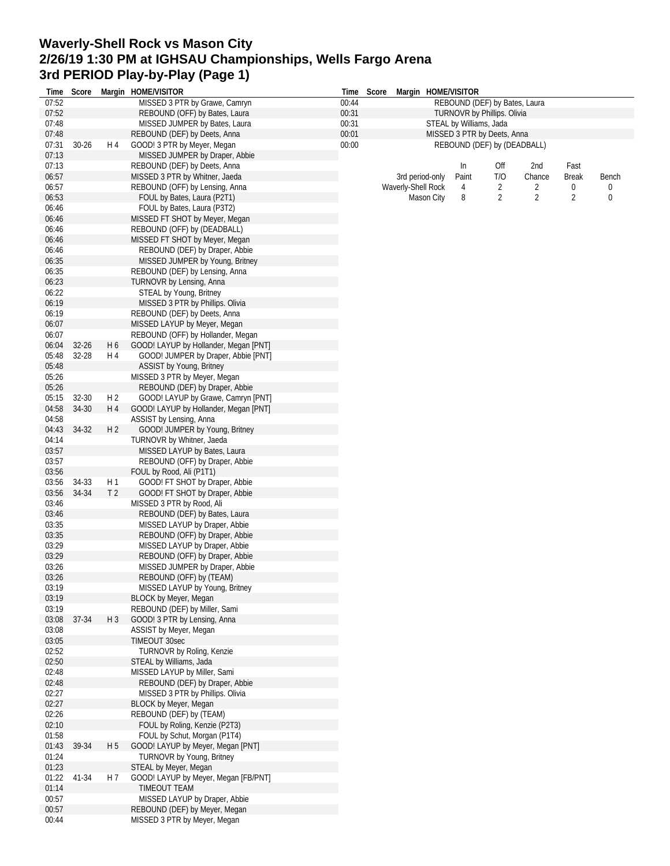## **Waverly-Shell Rock vs Mason City 2/26/19 1:30 PM at IGHSAU Championships, Wells Fargo Arena 3rd PERIOD Play-by-Play (Page 1)**

| Time           | Score     |                | Margin HOME/VISITOR                                         | Time  | Score |                    |                 | Margin HOME/VISITOR           |     |        |                |       |
|----------------|-----------|----------------|-------------------------------------------------------------|-------|-------|--------------------|-----------------|-------------------------------|-----|--------|----------------|-------|
| 07:52          |           |                | MISSED 3 PTR by Grawe, Camryn                               | 00:44 |       |                    |                 | REBOUND (DEF) by Bates, Laura |     |        |                |       |
| 07:52          |           |                | REBOUND (OFF) by Bates, Laura                               | 00:31 |       |                    |                 | TURNOVR by Phillips. Olivia   |     |        |                |       |
| 07:48          |           |                | MISSED JUMPER by Bates, Laura                               | 00:31 |       |                    |                 | STEAL by Williams, Jada       |     |        |                |       |
| 07:48          |           |                | REBOUND (DEF) by Deets, Anna                                | 00:01 |       |                    |                 | MISSED 3 PTR by Deets, Anna   |     |        |                |       |
| 07:31          | $30 - 26$ | H 4            | GOOD! 3 PTR by Meyer, Megan                                 | 00:00 |       |                    |                 | REBOUND (DEF) by (DEADBALL)   |     |        |                |       |
| 07:13          |           |                | MISSED JUMPER by Draper, Abbie                              |       |       |                    |                 |                               |     |        |                |       |
| 07:13          |           |                | REBOUND (DEF) by Deets, Anna                                |       |       |                    |                 | In                            | Off | 2nd    | Fast           |       |
| 06:57          |           |                | MISSED 3 PTR by Whitner, Jaeda                              |       |       |                    | 3rd period-only | Paint                         | T/O | Chance | <b>Break</b>   | Bench |
| 06:57          |           |                | REBOUND (OFF) by Lensing, Anna                              |       |       | Waverly-Shell Rock |                 | 4                             | 2   | 2      | 0              | 0     |
| 06:53          |           |                | FOUL by Bates, Laura (P2T1)                                 |       |       |                    | Mason City      | 8                             | 2   | 2      | $\overline{2}$ | 0     |
| 06:46          |           |                | FOUL by Bates, Laura (P3T2)                                 |       |       |                    |                 |                               |     |        |                |       |
| 06:46          |           |                | MISSED FT SHOT by Meyer, Megan                              |       |       |                    |                 |                               |     |        |                |       |
| 06:46          |           |                | REBOUND (OFF) by (DEADBALL)                                 |       |       |                    |                 |                               |     |        |                |       |
| 06:46          |           |                | MISSED FT SHOT by Meyer, Megan                              |       |       |                    |                 |                               |     |        |                |       |
| 06:46          |           |                | REBOUND (DEF) by Draper, Abbie                              |       |       |                    |                 |                               |     |        |                |       |
| 06:35          |           |                | MISSED JUMPER by Young, Britney                             |       |       |                    |                 |                               |     |        |                |       |
| 06:35<br>06:23 |           |                | REBOUND (DEF) by Lensing, Anna                              |       |       |                    |                 |                               |     |        |                |       |
| 06:22          |           |                | TURNOVR by Lensing, Anna                                    |       |       |                    |                 |                               |     |        |                |       |
| 06:19          |           |                | STEAL by Young, Britney<br>MISSED 3 PTR by Phillips. Olivia |       |       |                    |                 |                               |     |        |                |       |
| 06:19          |           |                | REBOUND (DEF) by Deets, Anna                                |       |       |                    |                 |                               |     |        |                |       |
| 06:07          |           |                | MISSED LAYUP by Meyer, Megan                                |       |       |                    |                 |                               |     |        |                |       |
| 06:07          |           |                | REBOUND (OFF) by Hollander, Megan                           |       |       |                    |                 |                               |     |        |                |       |
| 06:04          | $32 - 26$ | H <sub>6</sub> | GOOD! LAYUP by Hollander, Megan [PNT]                       |       |       |                    |                 |                               |     |        |                |       |
| 05:48          | 32-28     | H 4            | GOOD! JUMPER by Draper, Abbie [PNT]                         |       |       |                    |                 |                               |     |        |                |       |
| 05:48          |           |                | ASSIST by Young, Britney                                    |       |       |                    |                 |                               |     |        |                |       |
| 05:26          |           |                | MISSED 3 PTR by Meyer, Megan                                |       |       |                    |                 |                               |     |        |                |       |
| 05:26          |           |                | REBOUND (DEF) by Draper, Abbie                              |       |       |                    |                 |                               |     |        |                |       |
| 05:15          | 32-30     | H <sub>2</sub> | GOOD! LAYUP by Grawe, Camryn [PNT]                          |       |       |                    |                 |                               |     |        |                |       |
| 04:58          | 34-30     | H 4            | GOOD! LAYUP by Hollander, Megan [PNT]                       |       |       |                    |                 |                               |     |        |                |       |
| 04:58          |           |                | ASSIST by Lensing, Anna                                     |       |       |                    |                 |                               |     |        |                |       |
| 04:43          | 34-32     | H <sub>2</sub> | GOOD! JUMPER by Young, Britney                              |       |       |                    |                 |                               |     |        |                |       |
| 04:14          |           |                | TURNOVR by Whitner, Jaeda                                   |       |       |                    |                 |                               |     |        |                |       |
| 03:57          |           |                | MISSED LAYUP by Bates, Laura                                |       |       |                    |                 |                               |     |        |                |       |
| 03:57          |           |                | REBOUND (OFF) by Draper, Abbie                              |       |       |                    |                 |                               |     |        |                |       |
| 03:56          |           |                | FOUL by Rood, Ali (P1T1)                                    |       |       |                    |                 |                               |     |        |                |       |
| 03:56          | 34-33     | H1             | GOOD! FT SHOT by Draper, Abbie                              |       |       |                    |                 |                               |     |        |                |       |
| 03:56          | 34-34     | T <sub>2</sub> | GOOD! FT SHOT by Draper, Abbie                              |       |       |                    |                 |                               |     |        |                |       |
| 03:46          |           |                | MISSED 3 PTR by Rood, Ali                                   |       |       |                    |                 |                               |     |        |                |       |
| 03:46          |           |                | REBOUND (DEF) by Bates, Laura                               |       |       |                    |                 |                               |     |        |                |       |
| 03:35          |           |                | MISSED LAYUP by Draper, Abbie                               |       |       |                    |                 |                               |     |        |                |       |
| 03:35          |           |                | REBOUND (OFF) by Draper, Abbie                              |       |       |                    |                 |                               |     |        |                |       |
| 03:29          |           |                | MISSED LAYUP by Draper, Abbie                               |       |       |                    |                 |                               |     |        |                |       |
| 03:29          |           |                | REBOUND (OFF) by Draper, Abbie                              |       |       |                    |                 |                               |     |        |                |       |
| 03:26          |           |                | MISSED JUMPER by Draper, Abbie                              |       |       |                    |                 |                               |     |        |                |       |
| 03:26          |           |                | REBOUND (OFF) by (TEAM)                                     |       |       |                    |                 |                               |     |        |                |       |
| 03:19          |           |                | MISSED LAYUP by Young, Britney                              |       |       |                    |                 |                               |     |        |                |       |
| 03:19          |           |                | BLOCK by Meyer, Megan                                       |       |       |                    |                 |                               |     |        |                |       |
| 03:19          |           |                | REBOUND (DEF) by Miller, Sami                               |       |       |                    |                 |                               |     |        |                |       |
| 03:08<br>03:08 | 37-34     | $H_3$          | GOOD! 3 PTR by Lensing, Anna<br>ASSIST by Meyer, Megan      |       |       |                    |                 |                               |     |        |                |       |
| 03:05          |           |                | TIMEOUT 30sec                                               |       |       |                    |                 |                               |     |        |                |       |
| 02:52          |           |                | TURNOVR by Roling, Kenzie                                   |       |       |                    |                 |                               |     |        |                |       |
| 02:50          |           |                | STEAL by Williams, Jada                                     |       |       |                    |                 |                               |     |        |                |       |
| 02:48          |           |                | MISSED LAYUP by Miller, Sami                                |       |       |                    |                 |                               |     |        |                |       |
| 02:48          |           |                | REBOUND (DEF) by Draper, Abbie                              |       |       |                    |                 |                               |     |        |                |       |
| 02:27          |           |                | MISSED 3 PTR by Phillips. Olivia                            |       |       |                    |                 |                               |     |        |                |       |
| 02:27          |           |                | BLOCK by Meyer, Megan                                       |       |       |                    |                 |                               |     |        |                |       |
| 02:26          |           |                | REBOUND (DEF) by (TEAM)                                     |       |       |                    |                 |                               |     |        |                |       |
| 02:10          |           |                | FOUL by Roling, Kenzie (P2T3)                               |       |       |                    |                 |                               |     |        |                |       |
| 01:58          |           |                | FOUL by Schut, Morgan (P1T4)                                |       |       |                    |                 |                               |     |        |                |       |
| 01:43          | 39-34     | H <sub>5</sub> | GOOD! LAYUP by Meyer, Megan [PNT]                           |       |       |                    |                 |                               |     |        |                |       |
| 01:24          |           |                | TURNOVR by Young, Britney                                   |       |       |                    |                 |                               |     |        |                |       |
| 01:23          |           |                | STEAL by Meyer, Megan                                       |       |       |                    |                 |                               |     |        |                |       |
| 01:22          | 41-34     | H 7            | GOOD! LAYUP by Meyer, Megan [FB/PNT]                        |       |       |                    |                 |                               |     |        |                |       |
| 01:14          |           |                | TIMEOUT TEAM                                                |       |       |                    |                 |                               |     |        |                |       |
| 00:57          |           |                | MISSED LAYUP by Draper, Abbie                               |       |       |                    |                 |                               |     |        |                |       |
| 00:57          |           |                | REBOUND (DEF) by Meyer, Megan                               |       |       |                    |                 |                               |     |        |                |       |
| 00:44          |           |                | MISSED 3 PTR by Meyer, Megan                                |       |       |                    |                 |                               |     |        |                |       |